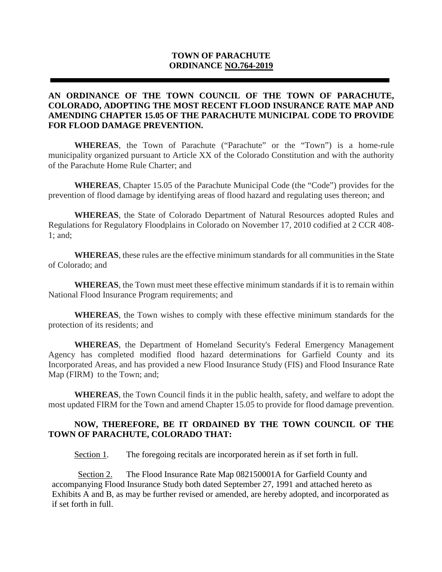# **TOWN OF PARACHUTE ORDINANCE NO.764-2019**

### **AN ORDINANCE OF THE TOWN COUNCIL OF THE TOWN OF PARACHUTE, COLORADO, ADOPTING THE MOST RECENT FLOOD INSURANCE RATE MAP AND AMENDING CHAPTER 15.05 OF THE PARACHUTE MUNICIPAL CODE TO PROVIDE FOR FLOOD DAMAGE PREVENTION.**

**WHEREAS**, the Town of Parachute ("Parachute" or the "Town") is a home-rule municipality organized pursuant to Article XX of the Colorado Constitution and with the authority of the Parachute Home Rule Charter; and

**WHEREAS**, Chapter 15.05 of the Parachute Municipal Code (the "Code") provides for the prevention of flood damage by identifying areas of flood hazard and regulating uses thereon; and

**WHEREAS**, the State of Colorado Department of Natural Resources adopted Rules and Regulations for Regulatory Floodplains in Colorado on November 17, 2010 codified at 2 CCR 408- 1; and;

**WHEREAS**, these rules are the effective minimum standards for all communities in the State of Colorado; and

**WHEREAS**, the Town must meet these effective minimum standards if it is to remain within National Flood Insurance Program requirements; and

**WHEREAS**, the Town wishes to comply with these effective minimum standards for the protection of its residents; and

**WHEREAS**, the Department of Homeland Security's Federal Emergency Management Agency has completed modified flood hazard determinations for Garfield County and its Incorporated Areas, and has provided a new Flood Insurance Study (FIS) and Flood Insurance Rate Map (FIRM) to the Town; and;

**WHEREAS**, the Town Council finds it in the public health, safety, and welfare to adopt the most updated FIRM for the Town and amend Chapter 15.05 to provide for flood damage prevention.

#### **NOW, THEREFORE, BE IT ORDAINED BY THE TOWN COUNCIL OF THE TOWN OF PARACHUTE, COLORADO THAT:**

Section 1. The foregoing recitals are incorporated herein as if set forth in full.

Section 2. The Flood Insurance Rate Map 082150001A for Garfield County and accompanying Flood Insurance Study both dated September 27, 1991 and attached hereto as Exhibits A and B, as may be further revised or amended, are hereby adopted, and incorporated as if set forth in full.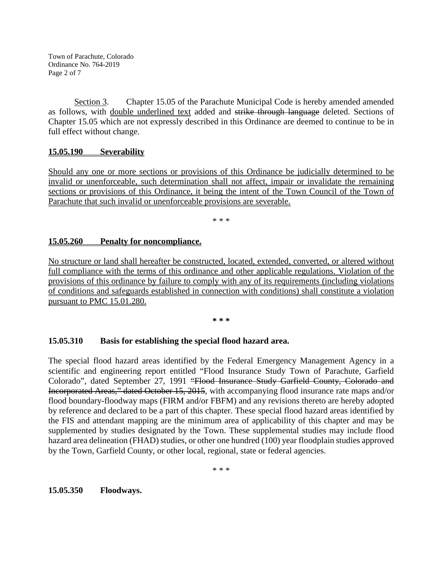Town of Parachute, Colorado Ordinance No. 764-2019 Page 2 of 7

Section 3. Chapter 15.05 of the Parachute Municipal Code is hereby amended amended as follows, with double underlined text added and strike through language deleted. Sections of Chapter 15.05 which are not expressly described in this Ordinance are deemed to continue to be in full effect without change.

# **15.05.190 Severability**

Should any one or more sections or provisions of this Ordinance be judicially determined to be invalid or unenforceable, such determination shall not affect, impair or invalidate the remaining sections or provisions of this Ordinance, it being the intent of the Town Council of the Town of Parachute that such invalid or unenforceable provisions are severable.

\* \* \*

### **15.05.260 Penalty for noncompliance.**

No structure or land shall hereafter be constructed, located, extended, converted, or altered without full compliance with the terms of this ordinance and other applicable regulations. Violation of the provisions of this ordinance by failure to comply with any of its requirements (including violations of conditions and safeguards established in connection with conditions) shall constitute a violation pursuant to PMC 15.01.280.

**\* \* \***

#### **15.05.310 Basis for establishing the special flood hazard area.**

The special flood hazard areas identified by the Federal Emergency Management Agency in a scientific and engineering report entitled "Flood Insurance Study Town of Parachute, Garfield Colorado", dated September 27, 1991 "Flood Insurance Study Garfield County, Colorado and Incorporated Areas," dated October 15, 2015, with accompanying flood insurance rate maps and/or flood boundary-floodway maps (FIRM and/or FBFM) and any revisions thereto are hereby adopted by reference and declared to be a part of this chapter. These special flood hazard areas identified by the FIS and attendant mapping are the minimum area of applicability of this chapter and may be supplemented by studies designated by the Town. These supplemental studies may include flood hazard area delineation (FHAD) studies, or other one hundred (100) year floodplain studies approved by the Town, Garfield County, or other local, regional, state or federal agencies.

\* \* \*

**15.05.350 Floodways.**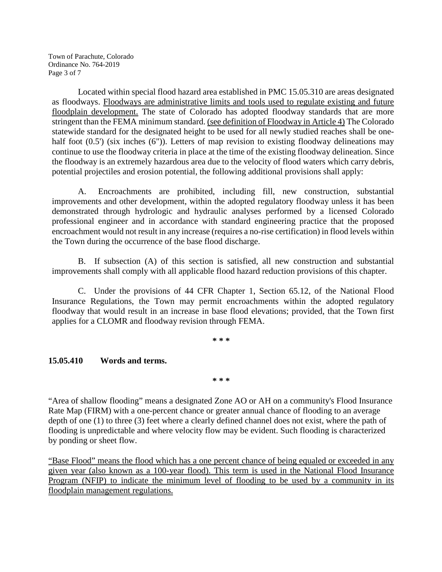Town of Parachute, Colorado Ordinance No. 764-2019 Page 3 of 7

Located within special flood hazard area established in PMC 15.05.310 are areas designated as floodways. Floodways are administrative limits and tools used to regulate existing and future floodplain development. The state of Colorado has adopted floodway standards that are more stringent than the FEMA minimum standard. (see definition of Floodway in Article 4) The Colorado statewide standard for the designated height to be used for all newly studied reaches shall be onehalf foot  $(0.5')$  (six inches  $(6'')$ ). Letters of map revision to existing floodway delineations may continue to use the floodway criteria in place at the time of the existing floodway delineation. Since the floodway is an extremely hazardous area due to the velocity of flood waters which carry debris, potential projectiles and erosion potential, the following additional provisions shall apply:

A. Encroachments are prohibited, including fill, new construction, substantial improvements and other development, within the adopted regulatory floodway unless it has been demonstrated through hydrologic and hydraulic analyses performed by a licensed Colorado professional engineer and in accordance with standard engineering practice that the proposed encroachment would not result in any increase (requires a no-rise certification) in flood levels within the Town during the occurrence of the base flood discharge.

B. If subsection (A) of this section is satisfied, all new construction and substantial improvements shall comply with all applicable flood hazard reduction provisions of this chapter.

C. Under the provisions of 44 CFR Chapter 1, Section 65.12, of the National Flood Insurance Regulations, the Town may permit encroachments within the adopted regulatory floodway that would result in an increase in base flood elevations; provided, that the Town first applies for a CLOMR and floodway revision through FEMA.

**\* \* \***

# **15.05.410 Words and terms.**

**\* \* \***

"Area of shallow flooding" means a designated Zone AO or AH on a community's Flood Insurance Rate Map (FIRM) with a one-percent chance or greater annual chance of flooding to an average depth of one (1) to three (3) feet where a clearly defined channel does not exist, where the path of flooding is unpredictable and where velocity flow may be evident. Such flooding is characterized by ponding or sheet flow.

"Base Flood" means the flood which has a one percent chance of being equaled or exceeded in any given year (also known as a 100-year flood). This term is used in the National Flood Insurance Program (NFIP) to indicate the minimum level of flooding to be used by a community in its floodplain management regulations.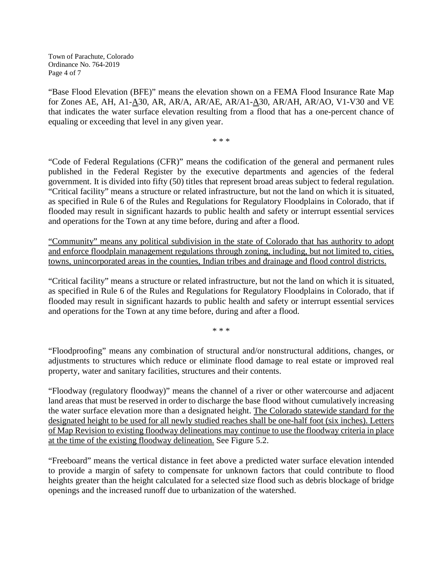Town of Parachute, Colorado Ordinance No. 764-2019 Page 4 of 7

"Base Flood Elevation (BFE)" means the elevation shown on a FEMA Flood Insurance Rate Map for Zones AE, AH, A1-A30, AR, AR/A, AR/AE, AR/A1-A30, AR/AH, AR/AO, V1-V30 and VE that indicates the water surface elevation resulting from a flood that has a one-percent chance of equaling or exceeding that level in any given year.

\* \* \*

"Code of Federal Regulations (CFR)" means the codification of the general and permanent rules published in the Federal Register by the executive departments and agencies of the federal government. It is divided into fifty (50) titles that represent broad areas subject to federal regulation. "Critical facility" means a structure or related infrastructure, but not the land on which it is situated, as specified in Rule 6 of the Rules and Regulations for Regulatory Floodplains in Colorado, that if flooded may result in significant hazards to public health and safety or interrupt essential services and operations for the Town at any time before, during and after a flood.

"Community" means any political subdivision in the state of Colorado that has authority to adopt and enforce floodplain management regulations through zoning, including, but not limited to, cities, towns, unincorporated areas in the counties, Indian tribes and drainage and flood control districts.

"Critical facility" means a structure or related infrastructure, but not the land on which it is situated, as specified in Rule 6 of the Rules and Regulations for Regulatory Floodplains in Colorado, that if flooded may result in significant hazards to public health and safety or interrupt essential services and operations for the Town at any time before, during and after a flood.

\* \* \*

"Floodproofing" means any combination of structural and/or nonstructural additions, changes, or adjustments to structures which reduce or eliminate flood damage to real estate or improved real property, water and sanitary facilities, structures and their contents.

"Floodway (regulatory floodway)" means the channel of a river or other watercourse and adjacent land areas that must be reserved in order to discharge the base flood without cumulatively increasing the water surface elevation more than a designated height. The Colorado statewide standard for the designated height to be used for all newly studied reaches shall be one-half foot (six inches). Letters of Map Revision to existing floodway delineations may continue to use the floodway criteria in place at the time of the existing floodway delineation. See Figure 5.2.

"Freeboard" means the vertical distance in feet above a predicted water surface elevation intended to provide a margin of safety to compensate for unknown factors that could contribute to flood heights greater than the height calculated for a selected size flood such as debris blockage of bridge openings and the increased runoff due to urbanization of the watershed.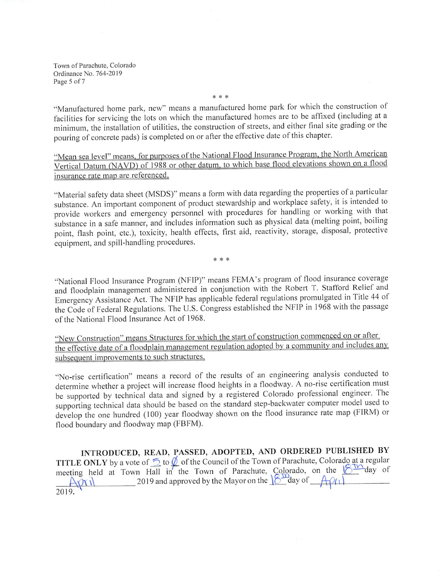Town of Parachute, Colorado Ordinance No. 764-2019 Page 5 of 7

"Manufactured home park, new" means a manufactured home park for which the construction of facilities for servicing the lots on which the manufactured homes are to be affixed (including at a minimum, the installation of utilities, the construction of streets, and either final site grading or the pouring of concrete pads) is completed on or after the effective date of this chapter.

\* \* \*

"Mean sea level" means, for purposes of the National Flood Insurance Program, the North American Vertical Datum (NAVD) of 1988 or other datum, to which base flood elevations shown on a flood insurance rate map are referenced.

"Material safety data sheet (MSDS)" means a form with data regarding the properties of a particular substance. An important component of product stewardship and workplace safety, it is intended to provide workers and emergency personnel with procedures for handling or working with that substance in a safe manner, and includes information such as physical data (melting point, boiling point, flash point, etc.), toxicity, health effects, first aid, reactivity, storage, disposal, protective equipment, and spill-handling procedures.

\* \* \*

"National Flood Insurance Program (NFIP)" means FEMA's program of flood insurance coverage and floodplain management administered in conjunction with the Robert T. Stafford Relief and Emergency Assistance Act. The NFIP has applicable federal regulations promulgated in Title 44 of the Code of Federal Regulations. The U.S. Congress established the NFIP in 1968 with the passage of the National Flood Insurance Act of 1968.

"New Construction" means Structures for which the start of construction commenced on or after the effective date of a floodplain management regulation adopted by a community and includes any subsequent improvements to such structures.

"No-rise certification" means a record of the results of an engineering analysis conducted to determine whether a project will increase flood heights in a floodway. A no-rise certification must be supported by technical data and signed by a registered Colorado professional engineer. The supporting technical data should be based on the standard step-backwater computer model used to develop the one hundred (100) year floodway shown on the flood insurance rate map (FIRM) or flood boundary and floodway map (FBFM).

INTRODUCED, READ, PASSED, ADOPTED, AND ORDERED PUBLISHED BY TITLE ONLY by a vote of  $\frac{1}{2}$  to  $\frac{1}{2}$  of the Council of the Town of Parachute, Colorado at a regular<br>meeting held at Town Hall in the Town of Parachute, Colorado, on the  $8\frac{10}{2}$  day of<br> $\frac{2019}{2}$  and approv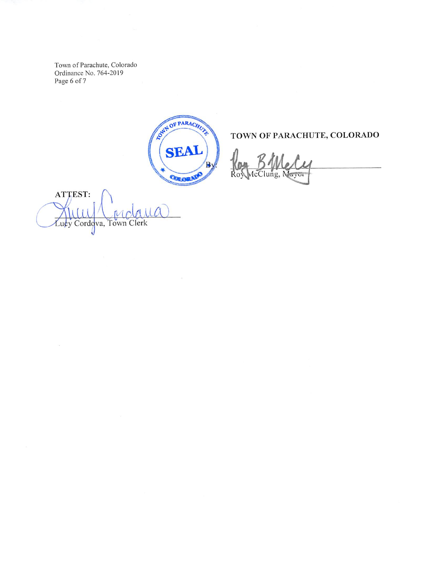Town of Parachute, Colorado Ordinance No. 764-2019 Page 6 of 7

ONN OF PARACHUZE SEAI P COLORAD

# TOWN OF PARACHUTE, COLORADO

ATTEST:  $\mu$  $M_{\mathcal{C}}$ Lucy Cordova, Town Clerk J

 $\langle \gamma_{\mu} \rangle$